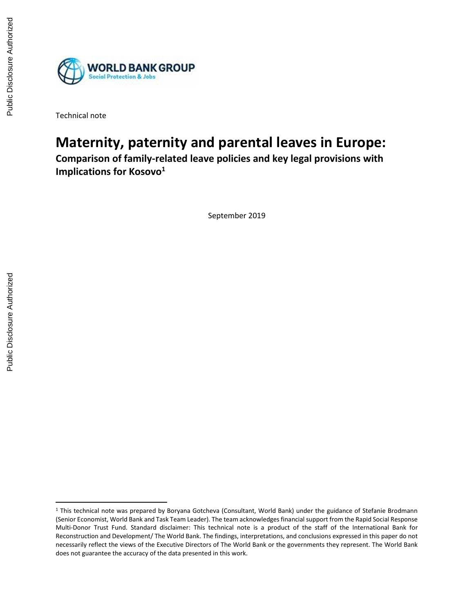

Technical note

# **Maternity, paternity and parental leaves in Europe:**

**Comparison of family-related leave policies and key legal provisions with Implications for Kosovo<sup>1</sup>**

September 2019

<sup>1</sup> This technical note was prepared by Boryana Gotcheva (Consultant, World Bank) under the guidance of Stefanie Brodmann (Senior Economist, World Bank and Task Team Leader). The team acknowledges financial support from the Rapid Social Response Multi-Donor Trust Fund. Standard disclaimer: This technical note is a product of the staff of the International Bank for Reconstruction and Development/ The World Bank. The findings, interpretations, and conclusions expressed in this paper do not necessarily reflect the views of the Executive Directors of The World Bank or the governments they represent. The World Bank does not guarantee the accuracy of the data presented in this work.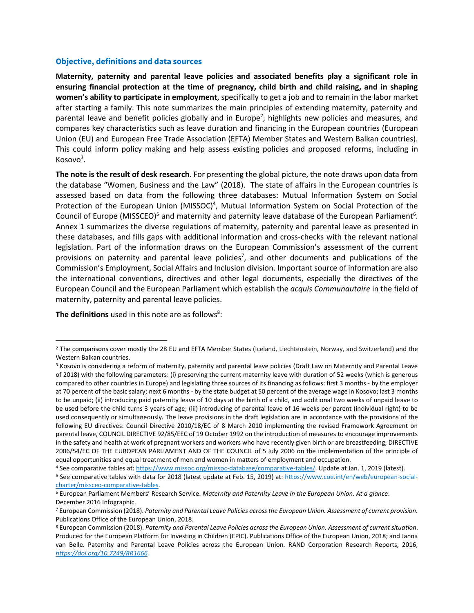#### **Objective, definitions and data sources**

**Maternity, paternity and parental leave policies and associated benefits play a significant role in ensuring financial protection at the time of pregnancy, child birth and child raising, and in shaping women's ability to participate in employment**, specifically to get a job and to remain in the labor market after starting a family. This note summarizes the main principles of extending maternity, paternity and parental leave and benefit policies globally and in Europe<sup>2</sup>, highlights new policies and measures, and compares key characteristics such as leave duration and financing in the European countries (European Union (EU) and European Free Trade Association (EFTA) Member States and Western Balkan countries). This could inform policy making and help assess existing policies and proposed reforms, including in Kosovo<sup>3</sup>.

**The note is the result of desk research**. For presenting the global picture, the note draws upon data from the database "Women, Business and the Law" (2018). The state of affairs in the European countries is assessed based on data from the following three databases: Mutual Information System on Social Protection of the European Union (MISSOC)<sup>4</sup>, Mutual Information System on Social Protection of the Council of Europe (MISSCEO)<sup>5</sup> and maternity and paternity leave database of the European Parliament<sup>6</sup>. Annex 1 summarizes the diverse regulations of maternity, paternity and parental leave as presented in these databases, and fills gaps with additional information and cross-checks with the relevant national legislation. Part of the information draws on the European Commission's assessment of the current provisions on paternity and parental leave policies<sup>7</sup>, and other documents and publications of the Commission's Employment, Social Affairs and Inclusion division. Important source of information are also the international conventions, directives and other legal documents, especially the directives of the European Council and the European Parliament which establish the *acquis Communautaire* in the field of maternity, paternity and parental leave policies.

**The definitions** used in this note are as follows<sup>8</sup>:

 $\overline{a}$ 

<sup>&</sup>lt;sup>2</sup> The comparisons cover mostly the 28 EU and EFTA Member States (Iceland, Liechtenstein, Norway, and Switzerland) and the Western Balkan countries.

<sup>3</sup> Kosovo is considering a reform of maternity, paternity and parental leave policies (Draft Law on Maternity and Parental Leave of 2018) with the following parameters: (i) preserving the current maternity leave with duration of 52 weeks (which is generous compared to other countries in Europe) and legislating three sources of its financing as follows: first 3 months - by the employer at 70 percent of the basic salary; next 6 months - by the state budget at 50 percent of the average wage in Kosovo; last 3 months to be unpaid; (ii) introducing paid paternity leave of 10 days at the birth of a child, and additional two weeks of unpaid leave to be used before the child turns 3 years of age; (iii) introducing of parental leave of 16 weeks per parent (individual right) to be used consequently or simultaneously. The leave provisions in the draft legislation are in accordance with the provisions of the following EU directives: Council Directive 2010/18/EC of 8 March 2010 implementing the revised Framework Agreement on parental leave, COUNCIL DIRECTIVE 92/85/EEC of 19 October 1992 on the introduction of measures to encourage improvements in the safety and health at work of pregnant workers and workers who have recently given birth or are breastfeeding, DIRECTIVE 2006/54/EC OF THE EUROPEAN PARLIAMENT AND OF THE COUNCIL of 5 July 2006 on the implementation of the principle of equal opportunities and equal treatment of men and women in matters of employment and occupation.

<sup>4</sup> See comparative tables at: [https://www.missoc.org/missoc-database/comparative-tables/.](https://www.missoc.org/missoc-database/comparative-tables/) Update at Jan. 1, 2019 (latest).

<sup>5</sup> See comparative tables with data for 2018 (latest update at Feb. 15, 2019) at: [https://www.coe.int/en/web/european-social](https://www.coe.int/en/web/european-social-charter/missceo-comparative-tables)[charter/missceo-comparative-tables.](https://www.coe.int/en/web/european-social-charter/missceo-comparative-tables)

<sup>6</sup> European Parliament Members' Research Service. *Maternity and Paternity Leave in the European Union. At a glance*. December 2016 Infographic.

<sup>7</sup> European Commission (2018). *Paternity and Parental Leave Policies across the European Union. Assessment of current provision.* Publications Office of the European Union, 2018.

<sup>8</sup> European Commission (2018). *Paternity and Parental Leave Policies across the European Union. Assessment of current situation*. Produced for the European Platform for Investing in Children (EPIC). Publications Office of the European Union, 2018; and Janna van Belle. Paternity and Parental Leave Policies across the European Union. RAND Corporation Research Reports, 2016, *[https://doi.org/10.7249/RR1666.](https://doi.org/10.7249/RR1666)*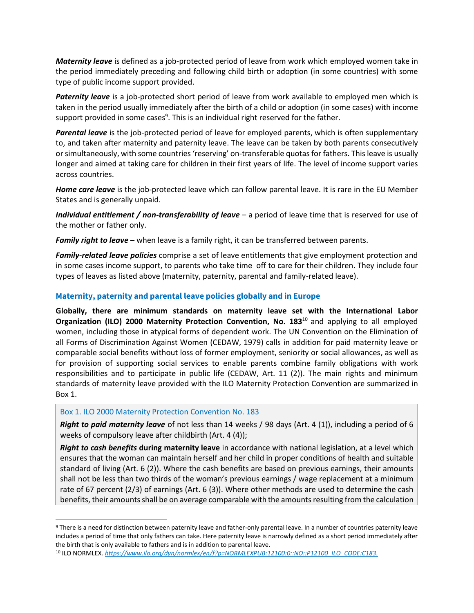*Maternity leave* is defined as a job-protected period of leave from work which employed women take in the period immediately preceding and following child birth or adoption (in some countries) with some type of public income support provided.

*Paternity leave* is a job-protected short period of leave from work available to employed men which is taken in the period usually immediately after the birth of a child or adoption (in some cases) with income support provided in some cases<sup>9</sup>. This is an individual right reserved for the father.

*Parental leave* is the job-protected period of leave for employed parents, which is often supplementary to, and taken after maternity and paternity leave. The leave can be taken by both parents consecutively or simultaneously, with some countries 'reserving' on-transferable quotas for fathers. This leave is usually longer and aimed at taking care for children in their first years of life. The level of income support varies across countries.

*Home care leave* is the job-protected leave which can follow parental leave. It is rare in the EU Member States and is generally unpaid.

*Individual entitlement / non-transferability of leave* – a period of leave time that is reserved for use of the mother or father only.

*Family right to leave* – when leave is a family right, it can be transferred between parents.

*Family-related leave policies* comprise a set of leave entitlements that give employment protection and in some cases income support, to parents who take time off to care for their children. They include four types of leaves as listed above (maternity, paternity, parental and family-related leave).

# **Maternity, paternity and parental leave policies globally and in Europe**

**Globally, there are minimum standards on maternity leave set with the International Labor Organization (ILO) 2000 Maternity Protection Convention, No. 183**<sup>10</sup> and applying to all employed women, including those in atypical forms of dependent work. The UN Convention on the Elimination of all Forms of Discrimination Against Women (CEDAW, 1979) calls in addition for paid maternity leave or comparable social benefits without loss of former employment, seniority or social allowances, as well as for provision of supporting social services to enable parents combine family obligations with work responsibilities and to participate in public life (CEDAW, Art. 11 (2)). The main rights and minimum standards of maternity leave provided with the ILO Maternity Protection Convention are summarized in Box 1.

# Box 1. ILO 2000 Maternity Protection Convention No. 183

 $\overline{\phantom{a}}$ 

*Right to paid maternity leave* of not less than 14 weeks / 98 days (Art. 4 (1)), including a period of 6 weeks of compulsory leave after childbirth (Art. 4 (4));

*Right to cash benefits* **during maternity leave** in accordance with national legislation, at a level which ensures that the woman can maintain herself and her child in proper conditions of health and suitable standard of living (Art. 6 (2)). Where the cash benefits are based on previous earnings, their amounts shall not be less than two thirds of the woman's previous earnings / wage replacement at a minimum rate of 67 percent (2/3) of earnings (Art. 6 (3)). Where other methods are used to determine the cash benefits, their amounts shall be on average comparable with the amounts resulting from the calculation

<sup>&</sup>lt;sup>9</sup> There is a need for distinction between paternity leave and father-only parental leave. In a number of countries paternity leave includes a period of time that only fathers can take. Here paternity leave is narrowly defined as a short period immediately after the birth that is only available to fathers and is in addition to parental leave.

<sup>10</sup> ILO NORMLEX*[. https://www.ilo.org/dyn/normlex/en/f?p=NORMLEXPUB:12100:0::NO::P12100\\_ILO\\_CODE:C183.](https://www.ilo.org/dyn/normlex/en/f?p=NORMLEXPUB:12100:0::NO::P12100_ILO_CODE:C183)*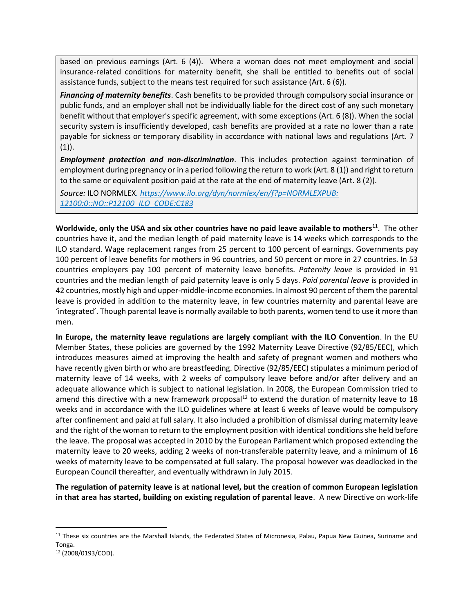based on previous earnings (Art. 6 (4)). Where a woman does not meet employment and social insurance-related conditions for maternity benefit, she shall be entitled to benefits out of social assistance funds, subject to the means test required for such assistance (Art. 6 (6)).

**Financing of maternity benefits**. Cash benefits to be provided through compulsory social insurance or public funds, and an employer shall not be individually liable for the direct cost of any such monetary benefit without that employer's specific agreement, with some exceptions (Art. 6 (8)). When the social security system is insufficiently developed, cash benefits are provided at a rate no lower than a rate payable for sickness or temporary disability in accordance with national laws and regulations (Art. 7  $(1)$ ).

▪ *Employment protection and non-discrimination*. This includes protection against termination of employment during pregnancy or in a period following the return to work (Art. 8 (1)) and right to return to the same or equivalent position paid at the rate at the end of maternity leave (Art. 8 (2)).

▪ *Source:* ILO NORMLEX*. [https://www.ilo.org/dyn/normlex/en/f?p=NORMLEXPUB:](https://www.ilo.org/dyn/normlex/en/f?p=NORMLEXPUB:%2012100:0::NO::P12100_ILO_CODE:C183)  [12100:0::NO::P12100\\_ILO\\_CODE:C183](https://www.ilo.org/dyn/normlex/en/f?p=NORMLEXPUB:%2012100:0::NO::P12100_ILO_CODE:C183)*

**Worldwide, only the USA and six other countries have no paid leave available to mothers**<sup>11</sup>. The other countries have it, and the median length of paid maternity leave is 14 weeks which corresponds to the ILO standard. Wage replacement ranges from 25 percent to 100 percent of earnings. Governments pay 100 percent of leave benefits for mothers in 96 countries, and 50 percent or more in 27 countries. In 53 countries employers pay 100 percent of maternity leave benefits. *Paternity leave* is provided in 91 countries and the median length of paid paternity leave is only 5 days. *Paid parental leave* is provided in 42 countries, mostly high and upper-middle-income economies. In almost 90 percent of them the parental leave is provided in addition to the maternity leave, in few countries maternity and parental leave are 'integrated'. Though parental leave is normally available to both parents, women tend to use it more than men.

**In Europe, the maternity leave regulations are largely compliant with the ILO Convention**. In the EU Member States, these policies are governed by the 1992 Maternity Leave Directive (92/85/EEC), which introduces measures aimed at improving the health and safety of pregnant women and mothers who have recently given birth or who are breastfeeding. Directive (92/85/EEC) stipulates a minimum period of maternity leave of 14 weeks, with 2 weeks of compulsory leave before and/or after delivery and an adequate allowance which is subject to national legislation. In 2008, the European Commission tried to amend this directive with a new framework proposal<sup>12</sup> to extend the duration of maternity leave to 18 weeks and in accordance with the ILO guidelines where at least 6 weeks of leave would be compulsory after confinement and paid at full salary. It also included a prohibition of dismissal during maternity leave and the right of the woman to return to the employment position with identical conditions she held before the leave. The proposal was accepted in 2010 by the European Parliament which proposed extending the maternity leave to 20 weeks, adding 2 weeks of non-transferable paternity leave, and a minimum of 16 weeks of maternity leave to be compensated at full salary. The proposal however was deadlocked in the European Council thereafter, and eventually withdrawn in July 2015.

**The regulation of paternity leave is at national level, but the creation of common European legislation in that area has started, building on existing regulation of parental leave**. A new Directive on work-life

<sup>11</sup> These six countries are the Marshall Islands, the Federated States of Micronesia, Palau, Papua New Guinea, Suriname and Tonga.

<sup>12</sup> (2008/0193/COD).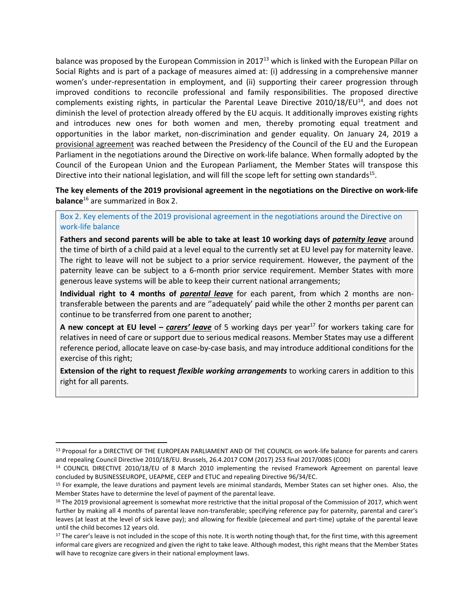balance was proposed by the European Commission in 2017<sup>13</sup> which is linked with the European Pillar on Social Rights and is part of a package of measures aimed at: (i) addressing in a comprehensive manner women's under-representation in employment, and (ii) supporting their career progression through improved conditions to reconcile professional and family responsibilities. The proposed directive complements existing rights, in particular the Parental Leave Directive 2010/18/EU<sup>14</sup>, and does not diminish the level of protection already offered by the EU acquis. It additionally improves existing rights and introduces new ones for both women and men, thereby promoting equal treatment and opportunities in the labor market, non-discrimination and gender equality. On January 24, 2019 a provisional agreement was reached between the Presidency of the Council of the EU and the European Parliament in the negotiations around the Directive on work-life balance. When formally adopted by the Council of the European Union and the European Parliament, the Member States will transpose this Directive into their national legislation, and will fill the scope left for setting own standards<sup>15</sup>.

**The key elements of the 2019 provisional agreement in the negotiations on the Directive on work-life balance**<sup>16</sup> are summarized in Box 2.

#### Box 2. Key elements of the 2019 provisional agreement in the negotiations around the Directive on work-life balance

**Fathers and second parents will be able to take at least 10 working days of** *paternity leave* around the time of birth of a child paid at a level equal to the currently set at EU level pay for maternity leave. The right to leave will not be subject to a prior service requirement. However, the payment of the paternity leave can be subject to a 6-month prior service requirement. Member States with more generous leave systems will be able to keep their current national arrangements;

**Individual right to 4 months of** *parental leave* for each parent, from which 2 months are nontransferable between the parents and are ''adequately' paid while the other 2 months per parent can continue to be transferred from one parent to another;

**A new concept at EU level –** *carers' leave* of 5 working days per year<sup>17</sup> for workers taking care for relatives in need of care or support due to serious medical reasons. Member States may use a different reference period, allocate leave on case-by-case basis, and may introduce additional conditions for the exercise of this right;

**Extension of the right to request** *flexible working arrangements* to working carers in addition to this right for all parents.

<sup>13</sup> Proposal for a DIRECTIVE OF THE EUROPEAN PARLIAMENT AND OF THE COUNCIL on work-life balance for parents and carers and repealing Council Directive 2010/18/EU. Brussels, 26.4.2017 COM (2017) 253 final 2017/0085 (COD)

<sup>14</sup> COUNCIL DIRECTIVE 2010/18/EU of 8 March 2010 implementing the revised Framework Agreement on parental leave concluded by BUSINESSEUROPE, UEAPME, CEEP and ETUC and repealing Directive 96/34/EC.

<sup>&</sup>lt;sup>15</sup> For example, the leave durations and payment levels are minimal standards, Member States can set higher ones. Also, the Member States have to determine the level of payment of the parental leave.

<sup>&</sup>lt;sup>16</sup> The 2019 provisional agreement is somewhat more restrictive that the initial proposal of the Commission of 2017, which went further by making all 4 months of parental leave non-transferable; specifying reference pay for paternity, parental and carer's leaves (at least at the level of sick leave pay); and allowing for flexible (piecemeal and part-time) uptake of the parental leave until the child becomes 12 years old.

<sup>&</sup>lt;sup>17</sup> The carer's leave is not included in the scope of this note. It is worth noting though that, for the first time, with this agreement informal care givers are recognized and given the right to take leave. Although modest, this right means that the Member States will have to recognize care givers in their national employment laws.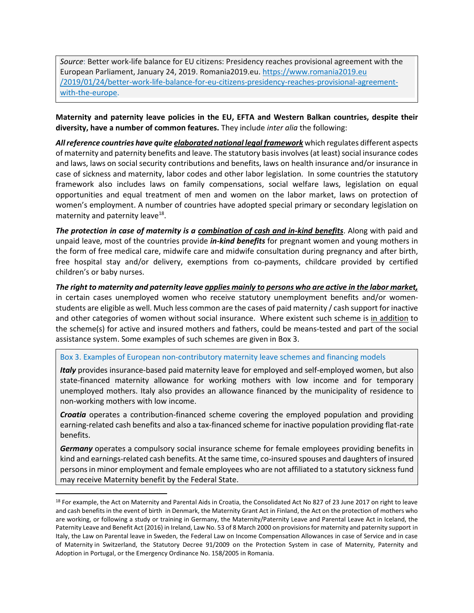*Source*: Better work-life balance for EU citizens: Presidency reaches provisional agreement with the European Parliament, January 24, 2019. Romania2019.eu. https://www.romania2019.eu /2019/01/24/better-work-life-balance-for-eu-citizens-presidency-reaches-provisional-agreementwith-the-europe.

**Maternity and paternity leave policies in the EU, EFTA and Western Balkan countries, despite their diversity, have a number of common features.** They include *inter alia* the following:

*All reference countries have quite elaborated national legal framework* which regulates different aspects of maternity and paternity benefits and leave. The statutory basis involves (at least) social insurance codes and laws, laws on social security contributions and benefits, laws on health insurance and/or insurance in case of sickness and maternity, labor codes and other labor legislation. In some countries the statutory framework also includes laws on family compensations, social welfare laws, legislation on equal opportunities and equal treatment of men and women on the labor market, laws on protection of women's employment. A number of countries have adopted special primary or secondary legislation on maternity and paternity leave<sup>18</sup>.

*The protection in case of maternity is a combination of cash and in-kind benefits*. Along with paid and unpaid leave, most of the countries provide *in-kind benefits* for pregnant women and young mothers in the form of free medical care, midwife care and midwife consultation during pregnancy and after birth, free hospital stay and/or delivery, exemptions from co-payments, childcare provided by certified children's or baby nurses.

*The right to maternity and paternity leave applies mainly to persons who are active in the labor market,* in certain cases unemployed women who receive statutory unemployment benefits and/or womenstudents are eligible as well. Much less common are the cases of paid maternity / cash support for inactive and other categories of women without social insurance. Where existent such scheme is in addition to the scheme(s) for active and insured mothers and fathers, could be means-tested and part of the social assistance system. Some examples of such schemes are given in Box 3.

#### Box 3. Examples of European non-contributory maternity leave schemes and financing models

*Italy* provides insurance-based paid maternity leave for employed and self-employed women, but also state-financed maternity allowance for working mothers with low income and for temporary unemployed mothers. Italy also provides an allowance financed by the municipality of residence to non-working mothers with low income.

*Croatia* operates a contribution-financed scheme covering the employed population and providing earning-related cash benefits and also a tax-financed scheme for inactive population providing flat-rate benefits.

*Germany* operates a compulsory social insurance scheme for female employees providing benefits in kind and earnings-related cash benefits. At the same time, co-insured spouses and daughters of insured persons in minor employment and female employees who are not affiliated to a statutory sickness fund may receive Maternity benefit by the Federal State.

<sup>&</sup>lt;sup>18</sup> For example, the Act on Maternity and Parental Aids in Croatia, the Consolidated Act No 827 of 23 June 2017 on right to leave and cash benefits in the event of birth in Denmark, the Maternity Grant Act in Finland, the Act on the protection of mothers who are working, or following a study or training in Germany, the Maternity/Paternity Leave and Parental Leave Act in Iceland, the Paternity Leave and Benefit Act (2016) in Ireland, Law No. 53 of 8 March 2000 on provisions for maternity and paternity support in Italy, the Law on Parental leave in Sweden, the Federal Law on Income Compensation Allowances in case of Service and in case of Maternity in Switzerland, the Statutory Decree 91/2009 on the Protection System in case of Maternity, Paternity and Adoption in Portugal, or the Emergency Ordinance No. 158/2005 in Romania.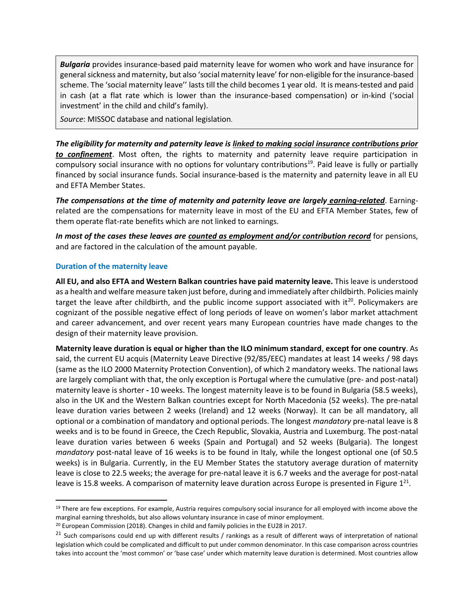*Bulgaria* provides insurance-based paid maternity leave for women who work and have insurance for general sickness and maternity, but also 'social maternity leave' for non-eligible for the insurance-based scheme. The 'social maternity leave'' lasts till the child becomes 1 year old. It is means-tested and paid in cash (at a flat rate which is lower than the insurance-based compensation) or in-kind ('social investment' in the child and child's family).

*Source*: MISSOC database and national legislation.

*The eligibility for maternity and paternity leave is linked to making social insurance contributions prior to confinement*. Most often, the rights to maternity and paternity leave require participation in compulsory social insurance with no options for voluntary contributions<sup>19</sup>. Paid leave is fully or partially financed by social insurance funds. Social insurance-based is the maternity and paternity leave in all EU and EFTA Member States.

*The compensations at the time of maternity and paternity leave are largely earning-related*. Earningrelated are the compensations for maternity leave in most of the EU and EFTA Member States, few of them operate flat-rate benefits which are not linked to earnings.

*In most of the cases these leaves are counted as employment and/or contribution record* for pensions, and are factored in the calculation of the amount payable.

#### **Duration of the maternity leave**

 $\overline{a}$ 

**All EU, and also EFTA and Western Balkan countries have paid maternity leave.** This leave is understood as a health and welfare measure taken just before, during and immediately after childbirth. Policies mainly target the leave after childbirth, and the public income support associated with it $20$ . Policymakers are cognizant of the possible negative effect of long periods of leave on women's labor market attachment and career advancement, and over recent years many European countries have made changes to the design of their maternity leave provision.

**Maternity leave duration is equal or higher than the ILO minimum standard**, **except for one country**. As said, the current EU acquis (Maternity Leave Directive (92/85/EEC) mandates at least 14 weeks / 98 days (same as the ILO 2000 Maternity Protection Convention), of which 2 mandatory weeks. The national laws are largely compliant with that, the only exception is Portugal where the cumulative (pre- and post-natal) maternity leave is shorter **-** 10 weeks. The longest maternity leave is to be found in Bulgaria (58.5 weeks), also in the UK and the Western Balkan countries except for North Macedonia (52 weeks). The pre-natal leave duration varies between 2 weeks (Ireland) and 12 weeks (Norway). It can be all mandatory, all optional or a combination of mandatory and optional periods. The longest *mandatory* pre-natal leave is 8 weeks and is to be found in Greece, the Czech Republic, Slovakia, Austria and Luxemburg. The post-natal leave duration varies between 6 weeks (Spain and Portugal) and 52 weeks (Bulgaria). The longest *mandatory* post-natal leave of 16 weeks is to be found in Italy, while the longest optional one (of 50.5 weeks) is in Bulgaria. Currently, in the EU Member States the statutory average duration of maternity leave is close to 22.5 weeks; the average for pre-natal leave it is 6.7 weeks and the average for post-natal leave is 15.8 weeks. A comparison of maternity leave duration across Europe is presented in Figure 1<sup>21</sup>.

<sup>&</sup>lt;sup>19</sup> There are few exceptions. For example, Austria requires compulsory social insurance for all employed with income above the marginal earning thresholds, but also allows voluntary insurance in case of minor employment.

<sup>&</sup>lt;sup>20</sup> European Commission (2018). Changes in child and family policies in the EU28 in 2017.

 $21$  Such comparisons could end up with different results / rankings as a result of different ways of interpretation of national legislation which could be complicated and difficult to put under common denominator. In this case comparison across countries takes into account the 'most common' or 'base case' under which maternity leave duration is determined. Most countries allow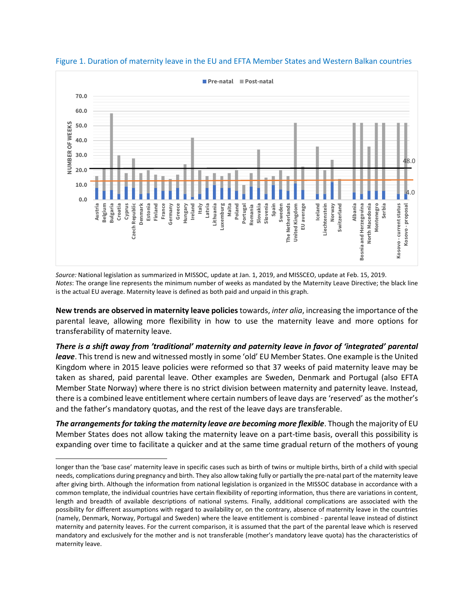

Figure 1. Duration of maternity leave in the EU and EFTA Member States and Western Balkan countries

*Source:* National legislation as summarized in MISSOC, update at Jan. 1, 2019, and MISSCEO, update at Feb. 15, 2019. *Notes*: The orange line represents the minimum number of weeks as mandated by the Maternity Leave Directive; the black line is the actual EU average. Maternity leave is defined as both paid and unpaid in this graph.

**New trends are observed in maternity leave policies** towards, *inter alia*, increasing the importance of the parental leave, allowing more flexibility in how to use the maternity leave and more options for transferability of maternity leave.

*There is a shift away from 'traditional' maternity and paternity leave in favor of 'integrated' parental leave*. This trend is new and witnessed mostly in some 'old' EU Member States. One example is the United Kingdom where in 2015 leave policies were reformed so that 37 weeks of paid maternity leave may be taken as shared, paid parental leave. Other examples are Sweden, Denmark and Portugal (also EFTA Member State Norway) where there is no strict division between maternity and paternity leave. Instead, there is a combined leave entitlement where certain numbers of leave days are 'reserved' as the mother's and the father's mandatory quotas, and the rest of the leave days are transferable.

*The arrangements for taking the maternity leave are becoming more flexible*. Though the majority of EU Member States does not allow taking the maternity leave on a part-time basis, overall this possibility is expanding over time to facilitate a quicker and at the same time gradual return of the mothers of young

 $\overline{a}$ 

longer than the 'base case' maternity leave in specific cases such as birth of twins or multiple births, birth of a child with special needs, complications during pregnancy and birth. They also allow taking fully or partially the pre-natal part of the maternity leave after giving birth. Although the information from national legislation is organized in the MISSOC database in accordance with a common template, the individual countries have certain flexibility of reporting information, thus there are variations in content, length and breadth of available descriptions of national systems. Finally, additional complications are associated with the possibility for different assumptions with regard to availability or, on the contrary, absence of maternity leave in the countries (namely, Denmark, Norway, Portugal and Sweden) where the leave entitlement is combined - parental leave instead of distinct maternity and paternity leaves. For the current comparison, it is assumed that the part of the parental leave which is reserved mandatory and exclusively for the mother and is not transferable (mother's mandatory leave quota) has the characteristics of maternity leave.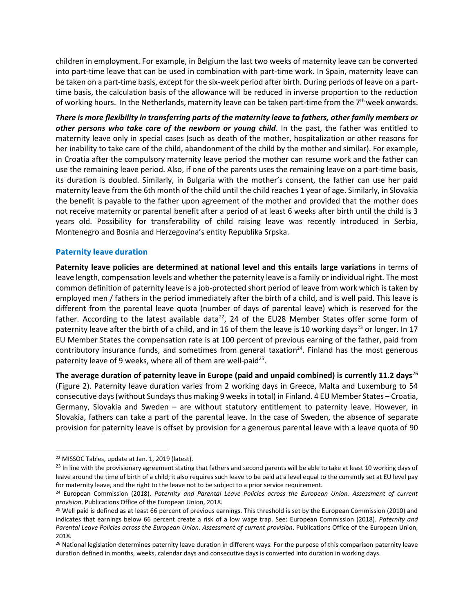children in employment. For example, in Belgium the last two weeks of maternity leave can be converted into part-time leave that can be used in combination with part-time work. In Spain, maternity leave can be taken on a part-time basis, except for the six-week period after birth. During periods of leave on a parttime basis, the calculation basis of the allowance will be reduced in inverse proportion to the reduction of working hours. In the Netherlands, maternity leave can be taken part-time from the 7<sup>th</sup> week onwards.

*There is more flexibility in transferring parts of the maternity leave to fathers, other family members or other persons who take care of the newborn or young child*. In the past, the father was entitled to maternity leave only in special cases (such as death of the mother, hospitalization or other reasons for her inability to take care of the child, abandonment of the child by the mother and similar). For example, in Croatia after the compulsory maternity leave period the mother can resume work and the father can use the remaining leave period. Also, if one of the parents uses the remaining leave on a part-time basis, its duration is doubled. Similarly, in Bulgaria with the mother's consent, the father can use her paid maternity leave from the 6th month of the child until the child reaches 1 year of age. Similarly, in Slovakia the benefit is payable to the father upon agreement of the mother and provided that the mother does not receive maternity or parental benefit after a period of at least 6 weeks after birth until the child is 3 years old. Possibility for transferability of child raising leave was recently introduced in Serbia, Montenegro and Bosnia and Herzegovina's entity Republika Srpska.

# **Paternity leave duration**

**Paternity leave policies are determined at national level and this entails large variations** in terms of leave length, compensation levels and whether the paternity leave is a family or individual right. The most common definition of paternity leave is a job-protected short period of leave from work which is taken by employed men / fathers in the period immediately after the birth of a child, and is well paid. This leave is different from the parental leave quota (number of days of parental leave) which is reserved for the father. According to the latest available data<sup>22</sup>, 24 of the EU28 Member States offer some form of paternity leave after the birth of a child, and in 16 of them the leave is 10 working days<sup>23</sup> or longer. In 17 EU Member States the compensation rate is at 100 percent of previous earning of the father, paid from contributory insurance funds, and sometimes from general taxation<sup>24</sup>. Finland has the most generous paternity leave of 9 weeks, where all of them are well-paid<sup>25</sup>.

The average duration of paternity leave in Europe (paid and unpaid combined) is currently 11.2 days<sup>26</sup> (Figure 2). Paternity leave duration varies from 2 working days in Greece, Malta and Luxemburg to 54 consecutive days (without Sundaysthus making 9 weeks in total) in Finland. 4 EU Member States – Croatia, Germany, Slovakia and Sweden – are without statutory entitlement to paternity leave. However, in Slovakia, fathers can take a part of the parental leave. In the case of Sweden, the absence of separate provision for paternity leave is offset by provision for a generous parental leave with a leave quota of 90

<sup>22</sup> MISSOC Tables, update at Jan. 1, 2019 (latest).

<sup>&</sup>lt;sup>23</sup> In line with the provisionary agreement stating that fathers and second parents will be able to take at least 10 working days of leave around the time of birth of a child; it also requires such leave to be paid at a level equal to the currently set at EU level pay for maternity leave, and the right to the leave not to be subject to a prior service requirement.

<sup>24</sup> European Commission (2018). *Paternity and Parental Leave Policies across the European Union. Assessment of current provision*. Publications Office of the European Union, 2018.

<sup>25</sup> Well paid is defined as at least 66 percent of previous earnings. This threshold is set by the European Commission (2010) and indicates that earnings below 66 percent create a risk of a low wage trap. See: European Commission (2018). *Paternity and Parental Leave Policies across the European Union. Assessment of current provision*. Publications Office of the European Union, 2018.

<sup>&</sup>lt;sup>26</sup> National legislation determines paternity leave duration in different ways. For the purpose of this comparison paternity leave duration defined in months, weeks, calendar days and consecutive days is converted into duration in working days.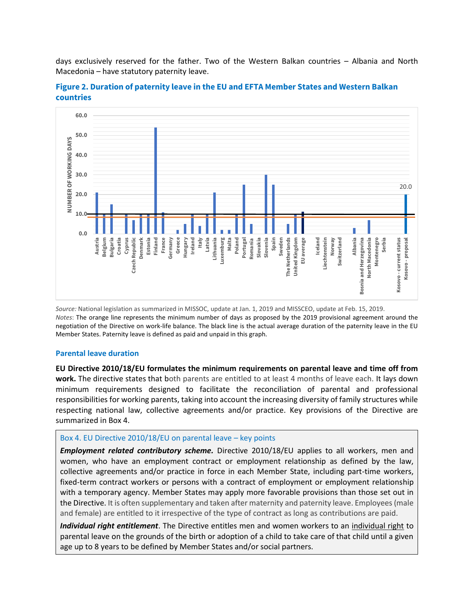days exclusively reserved for the father. Two of the Western Balkan countries – Albania and North Macedonia – have statutory paternity leave.



**Figure 2. Duration of paternity leave in the EU and EFTA Member States and Western Balkan countries**

*Source:* National legislation as summarized in MISSOC, update at Jan. 1, 2019 and MISSCEO, update at Feb. 15, 2019. *Notes*: The orange line represents the minimum number of days as proposed by the 2019 provisional agreement around the negotiation of the Directive on work-life balance. The black line is the actual average duration of the paternity leave in the EU Member States. Paternity leave is defined as paid and unpaid in this graph.

#### **Parental leave duration**

**EU Directive 2010/18/EU formulates the minimum requirements on parental leave and time off from work.** The directive states that both parents are entitled to at least 4 months of leave each. It lays down minimum requirements designed to facilitate the reconciliation of parental and professional responsibilities for working parents, taking into account the increasing diversity of family structures while respecting national law, collective agreements and/or practice. Key provisions of the Directive are summarized in Box 4.

# Box 4. EU Directive 2010/18/EU on parental leave – key points

*Employment related contributory scheme.* Directive 2010/18/EU applies to all workers, men and women, who have an employment contract or employment relationship as defined by the law, collective agreements and/or practice in force in each Member State, including part-time workers, fixed-term contract workers or persons with a contract of employment or employment relationship with a temporary agency. Member States may apply more favorable provisions than those set out in the Directive. It is often supplementary and taken after maternity and paternity leave. Employees (male and female) are entitled to it irrespective of the type of contract as long as contributions are paid.

*Individual right entitlement*. The Directive entitles men and women workers to an individual right to parental leave on the grounds of the birth or adoption of a child to take care of that child until a given age up to 8 years to be defined by Member States and/or social partners.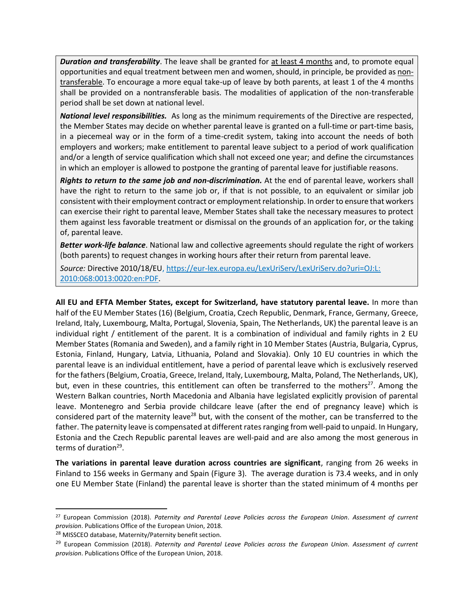**Duration and transferability**. The leave shall be granted for at least 4 months and, to promote equal opportunities and equal treatment between men and women, should, in principle, be provided as nontransferable. To encourage a more equal take-up of leave by both parents, at least 1 of the 4 months shall be provided on a nontransferable basis. The modalities of application of the non-transferable period shall be set down at national level.

*National level responsibilities.* As long as the minimum requirements of the Directive are respected, the Member States may decide on whether parental leave is granted on a full-time or part-time basis, in a piecemeal way or in the form of a time-credit system, taking into account the needs of both employers and workers; make entitlement to parental leave subject to a period of work qualification and/or a length of service qualification which shall not exceed one year; and define the circumstances in which an employer is allowed to postpone the granting of parental leave for justifiable reasons.

*Rights to return to the same job and non-discrimination.* At the end of parental leave, workers shall have the right to return to the same job or, if that is not possible, to an equivalent or similar job consistent with their employment contract or employment relationship. In order to ensure that workers can exercise their right to parental leave, Member States shall take the necessary measures to protect them against less favorable treatment or dismissal on the grounds of an application for, or the taking of, parental leave.

*Better work-life balance*. National law and collective agreements should regulate the right of workers (both parents) to request changes in working hours after their return from parental leave.

*Source:* Directive 2010/18/EU, [https://eur-lex.europa.eu/LexUriServ/LexUriServ.do?uri=OJ:L:](https://eur-lex.europa.eu/LexUriServ/LexUriServ.do?uri=OJ:L:%202010:068:0013:0020:en:PDF)  [2010:068:0013:0020:en:PDF.](https://eur-lex.europa.eu/LexUriServ/LexUriServ.do?uri=OJ:L:%202010:068:0013:0020:en:PDF)

**All EU and EFTA Member States, except for Switzerland, have statutory parental leave.** In more than half of the EU Member States (16) (Belgium, Croatia, Czech Republic, Denmark, France, Germany, Greece, Ireland, Italy, Luxembourg, Malta, Portugal, Slovenia, Spain, The Netherlands, UK) the parental leave is an individual right / entitlement of the parent. It is a combination of individual and family rights in 2 EU Member States (Romania and Sweden), and a family right in 10 Member States (Austria, Bulgaria, Cyprus, Estonia, Finland, Hungary, Latvia, Lithuania, Poland and Slovakia). Only 10 EU countries in which the parental leave is an individual entitlement, have a period of parental leave which is exclusively reserved for the fathers(Belgium, Croatia, Greece, Ireland, Italy, Luxembourg, Malta, Poland, The Netherlands, UK), but, even in these countries, this entitlement can often be transferred to the mothers<sup>27</sup>. Among the Western Balkan countries, North Macedonia and Albania have legislated explicitly provision of parental leave. Montenegro and Serbia provide childcare leave (after the end of pregnancy leave) which is considered part of the maternity leave<sup>28</sup> but, with the consent of the mother, can be transferred to the father. The paternity leave is compensated at different rates ranging from well-paid to unpaid. In Hungary, Estonia and the Czech Republic parental leaves are well-paid and are also among the most generous in terms of duration<sup>29</sup>.

**The variations in parental leave duration across countries are significant**, ranging from 26 weeks in Finland to 156 weeks in Germany and Spain (Figure 3). The average duration is 73.4 weeks, and in only one EU Member State (Finland) the parental leave is shorter than the stated minimum of 4 months per

<sup>27</sup> European Commission (2018). *Paternity and Parental Leave Policies across the European Union. Assessment of current provision*. Publications Office of the European Union, 2018.

<sup>28</sup> MISSCEO database, Maternity/Paternity benefit section.

<sup>29</sup> European Commission (2018). *Paternity and Parental Leave Policies across the European Union. Assessment of current provision*. Publications Office of the European Union, 2018.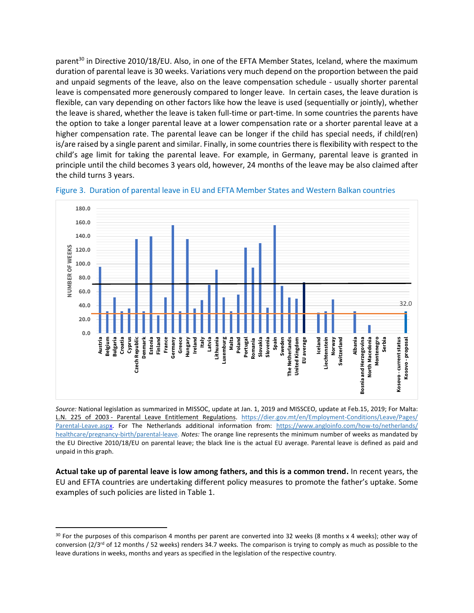parent<sup>30</sup> in Directive 2010/18/EU. Also, in one of the EFTA Member States, Iceland, where the maximum duration of parental leave is 30 weeks. Variations very much depend on the proportion between the paid and unpaid segments of the leave, also on the leave compensation schedule - usually shorter parental leave is compensated more generously compared to longer leave. In certain cases, the leave duration is flexible, can vary depending on other factors like how the leave is used (sequentially or jointly), whether the leave is shared, whether the leave is taken full-time or part-time. In some countries the parents have the option to take a longer parental leave at a lower compensation rate or a shorter parental leave at a higher compensation rate. The parental leave can be longer if the child has special needs, if child(ren) is/are raised by a single parent and similar. Finally, in some countries there is flexibility with respect to the child's age limit for taking the parental leave. For example, in Germany, parental leave is granted in principle until the child becomes 3 years old, however, 24 months of the leave may be also claimed after the child turns 3 years.



Figure 3. Duration of parental leave in EU and EFTA Member States and Western Balkan countries

*Source:* National legislation as summarized in MISSOC, update at Jan. 1, 2019 and MISSCEO, update at Feb.15, 2019; For Malta: L.N. 225 of 2003 - [Parental Leave Entitlement Regulations.](http://www.justiceservices.gov.mt/DownloadDocument.aspx?app=lom&itemid=11212) [https://dier.gov.mt/en/Employment-Conditions/Leave/Pages/](https://dier.gov.mt/en/Employment-Conditions/Leave/Pages/%20Parental-Leave.aspx)  [Parental-Leave.aspx.](https://dier.gov.mt/en/Employment-Conditions/Leave/Pages/%20Parental-Leave.aspx) For The Netherlands additional information from: [https://www.angloinfo.com/how-to/netherlands/](https://www.angloinfo.com/how-to/netherlands/%20healthcare/pregnancy-birth/parental-leave)  [healthcare/pregnancy-birth/parental-leave.](https://www.angloinfo.com/how-to/netherlands/%20healthcare/pregnancy-birth/parental-leave) *Notes:* The orange line represents the minimum number of weeks as mandated by the EU Directive 2010/18/EU on parental leave; the black line is the actual EU average. Parental leave is defined as paid and unpaid in this graph.

**Actual take up of parental leave is low among fathers, and this is a common trend.** In recent years, the EU and EFTA countries are undertaking different policy measures to promote the father's uptake. Some examples of such policies are listed in Table 1.

<sup>&</sup>lt;sup>30</sup> For the purposes of this comparison 4 months per parent are converted into 32 weeks (8 months x 4 weeks); other way of conversion ( $2/3$ <sup>rd</sup> of 12 months / 52 weeks) renders 34.7 weeks. The comparison is trying to comply as much as possible to the leave durations in weeks, months and years as specified in the legislation of the respective country.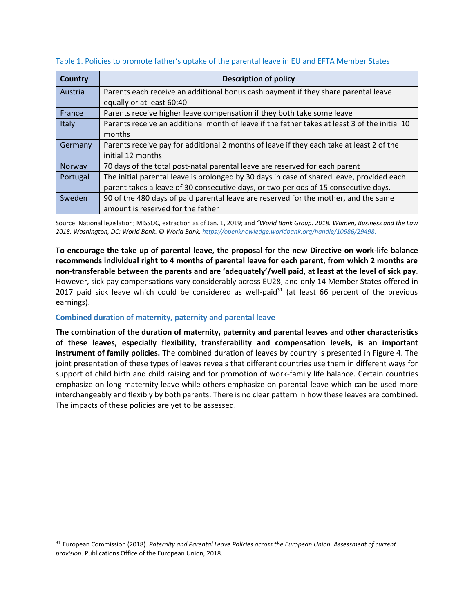| <b>Country</b> | <b>Description of policy</b>                                                                  |
|----------------|-----------------------------------------------------------------------------------------------|
| Austria        | Parents each receive an additional bonus cash payment if they share parental leave            |
|                | equally or at least 60:40                                                                     |
| France         | Parents receive higher leave compensation if they both take some leave                        |
| Italy          | Parents receive an additional month of leave if the father takes at least 3 of the initial 10 |
|                | months                                                                                        |
| Germany        | Parents receive pay for additional 2 months of leave if they each take at least 2 of the      |
|                | initial 12 months                                                                             |
| Norway         | 70 days of the total post-natal parental leave are reserved for each parent                   |
| Portugal       | The initial parental leave is prolonged by 30 days in case of shared leave, provided each     |
|                | parent takes a leave of 30 consecutive days, or two periods of 15 consecutive days.           |
| Sweden         | 90 of the 480 days of paid parental leave are reserved for the mother, and the same           |
|                | amount is reserved for the father                                                             |

Table 1. Policies to promote father's uptake of the parental leave in EU and EFTA Member States

Source: National legislation; MISSOC, extraction as of Jan. 1, 2019; and *"World Bank Group. 2018. Women, Business and the Law 2018. Washington, DC: World Bank. © World Bank[. https://openknowledge.worldbank.org/handle/10986/29498.](https://openknowledge.worldbank.org/handle/10986/29498)*

**To encourage the take up of parental leave, the proposal for the new Directive on work-life balance recommends individual right to 4 months of parental leave for each parent, from which 2 months are non-transferable between the parents and are 'adequately'/well paid, at least at the level of sick pay**. However, sick pay compensations vary considerably across EU28, and only 14 Member States offered in 2017 paid sick leave which could be considered as well-paid $31$  (at least 66 percent of the previous earnings).

# **Combined duration of maternity, paternity and parental leave**

 $\overline{\phantom{a}}$ 

**The combination of the duration of maternity, paternity and parental leaves and other characteristics of these leaves, especially flexibility, transferability and compensation levels, is an important instrument of family policies.** The combined duration of leaves by country is presented in Figure 4. The joint presentation of these types of leaves reveals that different countries use them in different ways for support of child birth and child raising and for promotion of work-family life balance. Certain countries emphasize on long maternity leave while others emphasize on parental leave which can be used more interchangeably and flexibly by both parents. There is no clear pattern in how these leaves are combined. The impacts of these policies are yet to be assessed.

<sup>31</sup> European Commission (2018). *Paternity and Parental Leave Policies across the European Union. Assessment of current provision*. Publications Office of the European Union, 2018.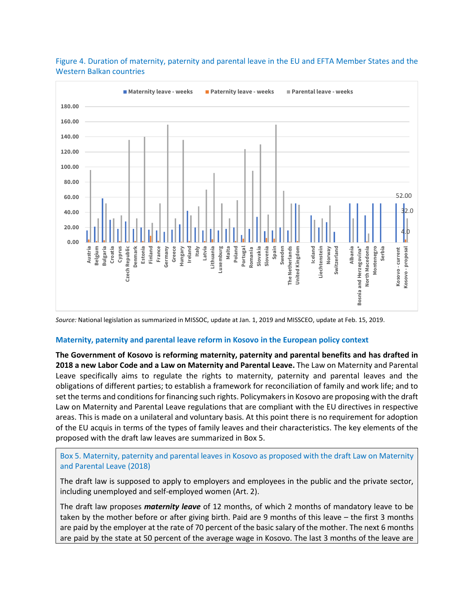

Figure 4. Duration of maternity, paternity and parental leave in the EU and EFTA Member States and the Western Balkan countries

*Source:* National legislation as summarized in MISSOC, update at Jan. 1, 2019 and MISSCEO, update at Feb. 15, 2019.

#### **Maternity, paternity and parental leave reform in Kosovo in the European policy context**

**The Government of Kosovo is reforming maternity, paternity and parental benefits and has drafted in 2018 a new Labor Code and a Law on Maternity and Parental Leave.** The Law on Maternity and Parental Leave specifically aims to regulate the rights to maternity, paternity and parental leaves and the obligations of different parties; to establish a framework for reconciliation of family and work life; and to set the terms and conditions for financing such rights. Policymakers in Kosovo are proposing with the draft Law on Maternity and Parental Leave regulations that are compliant with the EU directives in respective areas. This is made on a unilateral and voluntary basis. At this point there is no requirement for adoption of the EU acquis in terms of the types of family leaves and their characteristics. The key elements of the proposed with the draft law leaves are summarized in Box 5.

Box 5. Maternity, paternity and parental leaves in Kosovo as proposed with the draft Law on Maternity and Parental Leave (2018)

The draft law is supposed to apply to employers and employees in the public and the private sector, including unemployed and self-employed women (Art. 2).

The draft law proposes *maternity leave* of 12 months, of which 2 months of mandatory leave to be taken by the mother before or after giving birth. Paid are 9 months of this leave – the first 3 months are paid by the employer at the rate of 70 percent of the basic salary of the mother. The next 6 months are paid by the state at 50 percent of the average wage in Kosovo. The last 3 months of the leave are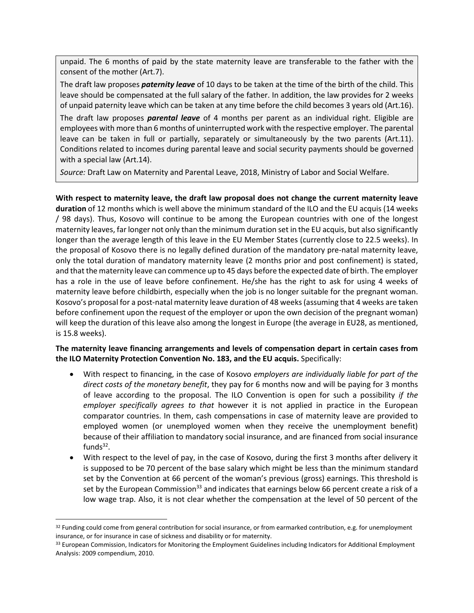unpaid. The 6 months of paid by the state maternity leave are transferable to the father with the consent of the mother (Art.7).

The draft law proposes *paternity leave* of 10 days to be taken at the time of the birth of the child. This leave should be compensated at the full salary of the father. In addition, the law provides for 2 weeks of unpaid paternity leave which can be taken at any time before the child becomes 3 years old (Art.16).

The draft law proposes *parental leave* of 4 months per parent as an individual right. Eligible are employees with more than 6 months of uninterrupted work with the respective employer. The parental leave can be taken in full or partially, separately or simultaneously by the two parents (Art.11). Conditions related to incomes during parental leave and social security payments should be governed with a special law (Art.14).

*Source:* Draft Law on Maternity and Parental Leave, 2018, Ministry of Labor and Social Welfare.

**With respect to maternity leave, the draft law proposal does not change the current maternity leave duration** of 12 months which is well above the minimum standard of the ILO and the EU acquis (14 weeks / 98 days). Thus, Kosovo will continue to be among the European countries with one of the longest maternity leaves, far longer not only than the minimum duration set in the EU acquis, but also significantly longer than the average length of this leave in the EU Member States (currently close to 22.5 weeks). In the proposal of Kosovo there is no legally defined duration of the mandatory pre-natal maternity leave, only the total duration of mandatory maternity leave (2 months prior and post confinement) is stated, and that the maternity leave can commence up to 45 days before the expected date of birth. The employer has a role in the use of leave before confinement. He/she has the right to ask for using 4 weeks of maternity leave before childbirth, especially when the job is no longer suitable for the pregnant woman. Kosovo's proposal for a post-natal maternity leave duration of 48 weeks (assuming that 4 weeks are taken before confinement upon the request of the employer or upon the own decision of the pregnant woman) will keep the duration of this leave also among the longest in Europe (the average in EU28, as mentioned, is 15.8 weeks).

**The maternity leave financing arrangements and levels of compensation depart in certain cases from the ILO Maternity Protection Convention No. 183, and the EU acquis.** Specifically:

- With respect to financing, in the case of Kosovo *employers are individually liable for part of the direct costs of the monetary benefit*, they pay for 6 months now and will be paying for 3 months of leave according to the proposal. The ILO Convention is open for such a possibility *if the employer specifically agrees to that* however it is not applied in practice in the European comparator countries. In them, cash compensations in case of maternity leave are provided to employed women (or unemployed women when they receive the unemployment benefit) because of their affiliation to mandatory social insurance, and are financed from social insurance funds<sup>32</sup>.
- With respect to the level of pay, in the case of Kosovo, during the first 3 months after delivery it is supposed to be 70 percent of the base salary which might be less than the minimum standard set by the Convention at 66 percent of the woman's previous (gross) earnings. This threshold is set by the European Commission<sup>33</sup> and indicates that earnings below 66 percent create a risk of a low wage trap. Also, it is not clear whether the compensation at the level of 50 percent of the

<sup>32</sup> Funding could come from general contribution for social insurance, or from earmarked contribution, e.g. for unemployment insurance, or for insurance in case of sickness and disability or for maternity.

<sup>33</sup> European Commission, Indicators for Monitoring the Employment Guidelines including Indicators for Additional Employment Analysis: 2009 compendium, 2010.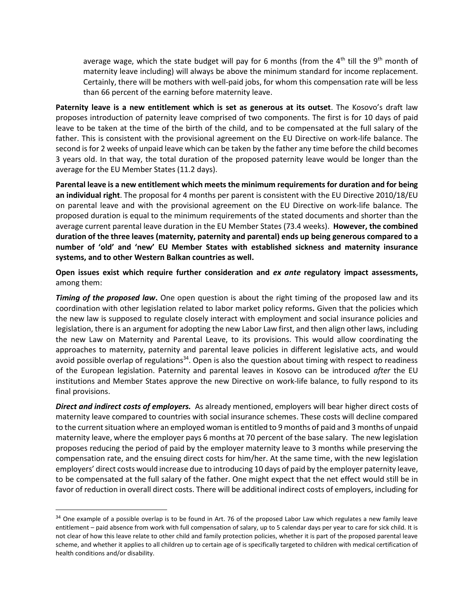average wage, which the state budget will pay for 6 months (from the 4<sup>th</sup> till the 9<sup>th</sup> month of maternity leave including) will always be above the minimum standard for income replacement. Certainly, there will be mothers with well-paid jobs, for whom this compensation rate will be less than 66 percent of the earning before maternity leave.

**Paternity leave is a new entitlement which is set as generous at its outset**. The Kosovo's draft law proposes introduction of paternity leave comprised of two components. The first is for 10 days of paid leave to be taken at the time of the birth of the child, and to be compensated at the full salary of the father. This is consistent with the provisional agreement on the EU Directive on work-life balance. The second is for 2 weeks of unpaid leave which can be taken by the father any time before the child becomes 3 years old. In that way, the total duration of the proposed paternity leave would be longer than the average for the EU Member States (11.2 days).

**Parental leave is a new entitlement which meets the minimum requirements for duration and for being an individual right**. The proposal for 4 months per parent is consistent with the EU Directive 2010/18/EU on parental leave and with the provisional agreement on the EU Directive on work-life balance. The proposed duration is equal to the minimum requirements of the stated documents and shorter than the average current parental leave duration in the EU Member States (73.4 weeks). **However, the combined duration of the three leaves (maternity, paternity and parental) ends up being generous compared to a number of 'old' and 'new' EU Member States with established sickness and maternity insurance systems, and to other Western Balkan countries as well.** 

**Open issues exist which require further consideration and** *ex ante* **regulatory impact assessments,**  among them:

**Timing of the proposed law.** One open question is about the right timing of the proposed law and its coordination with other legislation related to labor market policy reforms**.** Given that the policies which the new law is supposed to regulate closely interact with employment and social insurance policies and legislation, there is an argument for adopting the new Labor Law first, and then align other laws, including the new Law on Maternity and Parental Leave, to its provisions. This would allow coordinating the approaches to maternity, paternity and parental leave policies in different legislative acts, and would avoid possible overlap of regulations<sup>34</sup>. Open is also the question about timing with respect to readiness of the European legislation. Paternity and parental leaves in Kosovo can be introduced *after* the EU institutions and Member States approve the new Directive on work-life balance, to fully respond to its final provisions.

*Direct and indirect costs of employers.* As already mentioned, employers will bear higher direct costs of maternity leave compared to countries with social insurance schemes. These costs will decline compared to the current situation where an employed woman is entitled to 9 months of paid and 3 months of unpaid maternity leave, where the employer pays 6 months at 70 percent of the base salary. The new legislation proposes reducing the period of paid by the employer maternity leave to 3 months while preserving the compensation rate, and the ensuing direct costs for him/her. At the same time, with the new legislation employers' direct costs would increase due to introducing 10 days of paid by the employer paternity leave, to be compensated at the full salary of the father. One might expect that the net effect would still be in favor of reduction in overall direct costs. There will be additional indirect costs of employers, including for

<sup>&</sup>lt;sup>34</sup> One example of a possible overlap is to be found in Art. 76 of the proposed Labor Law which regulates a new family leave entitlement – paid absence from work with full compensation of salary, up to 5 calendar days per year to care for sick child. It is not clear of how this leave relate to other child and family protection policies, whether it is part of the proposed parental leave scheme, and whether it applies to all children up to certain age of is specifically targeted to children with medical certification of health conditions and/or disability.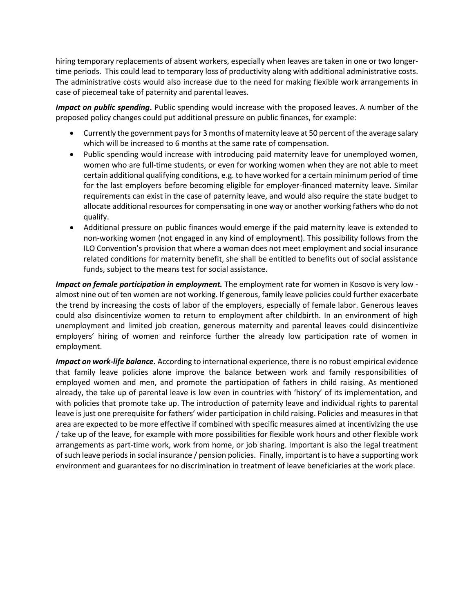hiring temporary replacements of absent workers, especially when leaves are taken in one or two longertime periods. This could lead to temporary loss of productivity along with additional administrative costs. The administrative costs would also increase due to the need for making flexible work arrangements in case of piecemeal take of paternity and parental leaves.

*Impact on public spending***.** Public spending would increase with the proposed leaves. A number of the proposed policy changes could put additional pressure on public finances, for example:

- Currently the government pays for 3 months of maternity leave at 50 percent of the average salary which will be increased to 6 months at the same rate of compensation.
- Public spending would increase with introducing paid maternity leave for unemployed women, women who are full-time students, or even for working women when they are not able to meet certain additional qualifying conditions, e.g. to have worked for a certain minimum period of time for the last employers before becoming eligible for employer-financed maternity leave. Similar requirements can exist in the case of paternity leave, and would also require the state budget to allocate additional resources for compensating in one way or another working fathers who do not qualify.
- Additional pressure on public finances would emerge if the paid maternity leave is extended to non-working women (not engaged in any kind of employment). This possibility follows from the ILO Convention's provision that where a woman does not meet employment and social insurance related conditions for maternity benefit, she shall be entitled to benefits out of social assistance funds, subject to the means test for social assistance.

*Impact on female participation in employment.* The employment rate for women in Kosovo is very low almost nine out of ten women are not working. If generous, family leave policies could further exacerbate the trend by increasing the costs of labor of the employers, especially of female labor. Generous leaves could also disincentivize women to return to employment after childbirth. In an environment of high unemployment and limited job creation, generous maternity and parental leaves could disincentivize employers' hiring of women and reinforce further the already low participation rate of women in employment.

*Impact on work-life balance***.** According to international experience, there is no robust empirical evidence that family leave policies alone improve the balance between work and family responsibilities of employed women and men, and promote the participation of fathers in child raising. As mentioned already, the take up of parental leave is low even in countries with 'history' of its implementation, and with policies that promote take up. The introduction of paternity leave and individual rights to parental leave is just one prerequisite for fathers' wider participation in child raising. Policies and measures in that area are expected to be more effective if combined with specific measures aimed at incentivizing the use / take up of the leave, for example with more possibilities for flexible work hours and other flexible work arrangements as part-time work, work from home, or job sharing. Important is also the legal treatment of such leave periods in social insurance / pension policies. Finally, important is to have a supporting work environment and guarantees for no discrimination in treatment of leave beneficiaries at the work place.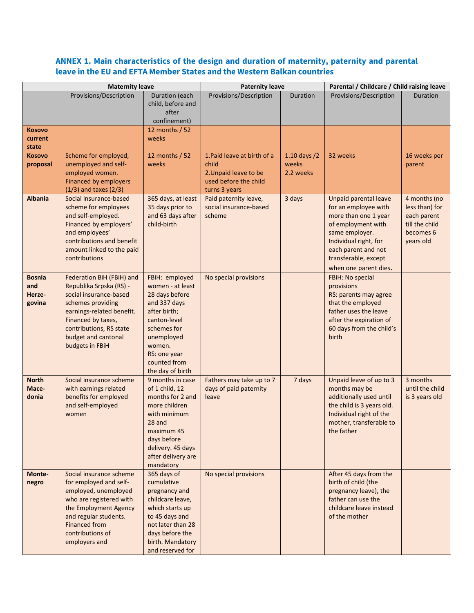# **ANNEX 1. Main characteristics of the design and duration of maternity, paternity and parental leave in the EU and EFTA Member States and the Western Balkan countries**

|                                          | <b>Maternity leave</b>                                                                                                                                                                                                      |                                                                                                                                                                                                 | <b>Paternity leave</b>                                                                                  |                                        | Parental / Childcare / Child raising leave                                                                                                                                                                     |                                                                                           |
|------------------------------------------|-----------------------------------------------------------------------------------------------------------------------------------------------------------------------------------------------------------------------------|-------------------------------------------------------------------------------------------------------------------------------------------------------------------------------------------------|---------------------------------------------------------------------------------------------------------|----------------------------------------|----------------------------------------------------------------------------------------------------------------------------------------------------------------------------------------------------------------|-------------------------------------------------------------------------------------------|
|                                          | Provisions/Description                                                                                                                                                                                                      | Duration (each<br>child, before and<br>after<br>confinement)                                                                                                                                    | Provisions/Description                                                                                  | Duration                               | Provisions/Description                                                                                                                                                                                         | Duration                                                                                  |
| <b>Kosovo</b><br>current<br>state        |                                                                                                                                                                                                                             | 12 months / 52<br>weeks                                                                                                                                                                         |                                                                                                         |                                        |                                                                                                                                                                                                                |                                                                                           |
| <b>Kosovo</b><br>proposal                | Scheme for employed,<br>unemployed and self-<br>employed women.<br><b>Financed by employers</b><br>$(1/3)$ and taxes $(2/3)$                                                                                                | 12 months / 52<br>weeks                                                                                                                                                                         | 1. Paid leave at birth of a<br>child<br>2. Unpaid leave to be<br>used before the child<br>turns 3 years | $1.10$ days $/2$<br>weeks<br>2.2 weeks | 32 weeks                                                                                                                                                                                                       | 16 weeks per<br>parent                                                                    |
| <b>Albania</b>                           | Social insurance-based<br>scheme for employees<br>and self-employed.<br>Financed by employers'<br>and employees'<br>contributions and benefit<br>amount linked to the paid<br>contributions                                 | 365 days, at least<br>35 days prior to<br>and 63 days after<br>child-birth                                                                                                                      | Paid paternity leave,<br>social insurance-based<br>scheme                                               | 3 days                                 | Unpaid parental leave<br>for an employee with<br>more than one 1 year<br>of employment with<br>same employer.<br>Individual right, for<br>each parent and not<br>transferable, except<br>when one parent dies. | 4 months (no<br>less than) for<br>each parent<br>till the child<br>becomes 6<br>years old |
| <b>Bosnia</b><br>and<br>Herze-<br>govina | Federation BiH (FBiH) and<br>Republika Srpska (RS) -<br>social insurance-based<br>schemes providing<br>earnings-related benefit.<br>Financed by taxes,<br>contributions, RS state<br>budget and cantonal<br>budgets in FBiH | FBiH: employed<br>women - at least<br>28 days before<br>and 337 days<br>after birth;<br>canton-level<br>schemes for<br>unemployed<br>women.<br>RS: one year<br>counted from<br>the day of birth | No special provisions                                                                                   |                                        | FBiH: No special<br>provisions<br>RS: parents may agree<br>that the employed<br>father uses the leave<br>after the expiration of<br>60 days from the child's<br>birth                                          |                                                                                           |
| <b>North</b><br>Mace-<br>donia           | Social insurance scheme<br>with earnings related<br>benefits for employed<br>and self-employed<br>women                                                                                                                     | 9 months in case<br>of 1 child, 12<br>months for 2 and<br>more children<br>with minimum<br>28 and<br>maximum 45<br>days before<br>delivery. 45 days<br>after delivery are<br>mandatory          | Fathers may take up to 7<br>days of paid paternity<br>leave                                             | 7 days                                 | Unpaid leave of up to 3<br>months may be<br>additionally used until<br>the child is 3 years old.<br>Individual right of the<br>mother, transferable to<br>the father                                           | 3 months<br>until the child<br>is 3 years old                                             |
| Monte-<br>negro                          | Social insurance scheme<br>for employed and self-<br>employed, unemployed<br>who are registered with<br>the Employment Agency<br>and regular students.<br><b>Financed from</b><br>contributions of<br>employers and         | 365 days of<br>cumulative<br>pregnancy and<br>childcare leave,<br>which starts up<br>to 45 days and<br>not later than 28<br>days before the<br>birth. Mandatory<br>and reserved for             | No special provisions                                                                                   |                                        | After 45 days from the<br>birth of child (the<br>pregnancy leave), the<br>father can use the<br>childcare leave instead<br>of the mother                                                                       |                                                                                           |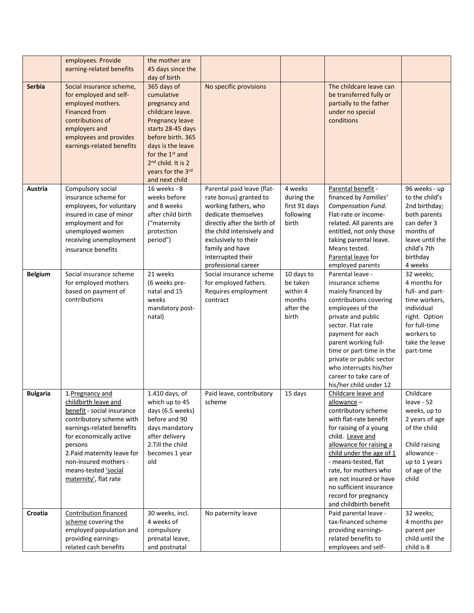|                 | employees. Provide<br>earning-related benefits                                                                                                                                                                                                                                 | the mother are<br>45 days since the<br>day of birth                                                                                                                                                                                          |                                                                                                                                                                                                                                                        |                                                                    |                                                                                                                                                                                                                                                                                                                                                   |                                                                                                                                                            |
|-----------------|--------------------------------------------------------------------------------------------------------------------------------------------------------------------------------------------------------------------------------------------------------------------------------|----------------------------------------------------------------------------------------------------------------------------------------------------------------------------------------------------------------------------------------------|--------------------------------------------------------------------------------------------------------------------------------------------------------------------------------------------------------------------------------------------------------|--------------------------------------------------------------------|---------------------------------------------------------------------------------------------------------------------------------------------------------------------------------------------------------------------------------------------------------------------------------------------------------------------------------------------------|------------------------------------------------------------------------------------------------------------------------------------------------------------|
| <b>Serbia</b>   | Social insurance scheme,<br>for employed and self-<br>employed mothers.<br><b>Financed from</b><br>contributions of<br>employers and<br>employees and provides<br>earnings-related benefits                                                                                    | 365 days of<br>cumulative<br>pregnancy and<br>childcare leave.<br>Pregnancy leave<br>starts 28-45 days<br>before birth. 365<br>days is the leave<br>for the 1st and<br>2 <sup>nd</sup> child. It is 2<br>years for the 3rd<br>and next child | No specific provisions                                                                                                                                                                                                                                 |                                                                    | The childcare leave can<br>be transferred fully or<br>partially to the father<br>under no special<br>conditions                                                                                                                                                                                                                                   |                                                                                                                                                            |
| Austria         | Compulsory social<br>insurance scheme for<br>employees, for voluntary<br>insured in case of minor<br>employment and for<br>unemployed women<br>receiving unemployment<br>insurance benefits                                                                                    | 16 weeks - 8<br>weeks before<br>and 8 weeks<br>after child birth<br>("maternity<br>protection<br>period")                                                                                                                                    | Parental paid leave (flat-<br>rate bonus) granted to<br>working fathers, who<br>dedicate themselves<br>directly after the birth of<br>the child intensively and<br>exclusively to their<br>family and have<br>interrupted their<br>professional career | 4 weeks<br>during the<br>first 91 days<br>following<br>birth       | Parental benefit -<br>financed by Families'<br>Compensation Fund.<br>Flat-rate or income-<br>related. All parents are<br>entitled, not only those<br>taking parental leave.<br>Means tested.<br>Parental leave for<br>employed parents                                                                                                            | 96 weeks - up<br>to the child's<br>2nd birthday;<br>both parents<br>can defer 3<br>months of<br>leave until the<br>child's 7th<br>birthday<br>4 weeks      |
| <b>Belgium</b>  | Social insurance scheme<br>for employed mothers<br>based on payment of<br>contributions                                                                                                                                                                                        | 21 weeks<br>(6 weeks pre-<br>natal and 15<br>weeks<br>mandatory post-<br>natal)                                                                                                                                                              | Social insurance scheme<br>for employed fathers.<br>Requires employment<br>contract                                                                                                                                                                    | 10 days to<br>be taken<br>within 4<br>months<br>after the<br>birth | Parental leave -<br>insurance scheme<br>mainly financed by<br>contributions covering<br>employees of the<br>private and public<br>sector. Flat rate<br>payment for each<br>parent working full-<br>time or part-time in the<br>private or public sector<br>who interrupts his/her<br>career to take care of<br>his/her child under 12             | 32 weeks;<br>4 months for<br>full- and part-<br>time workers,<br>individual<br>right. Option<br>for full-time<br>workers to<br>take the leave<br>part-time |
| <b>Bulgaria</b> | 1. Pregnancy and<br>childbirth leave and<br>benefit - social insurance<br>contributory scheme with<br>earnings-related benefits<br>for economically active<br>persons<br>2. Paid maternity leave for<br>non-insured mothers -<br>means-tested 'social<br>maternity', flat rate | 1.410 days, of<br>which up to 45<br>days (6.5 weeks)<br>before and 90<br>days mandatory<br>after delivery<br>2. Till the child<br>becomes 1 year<br>old                                                                                      | Paid leave, contributory<br>scheme                                                                                                                                                                                                                     | 15 days                                                            | Childcare leave and<br>allowance -<br>contributory scheme<br>with flat-rate benefit<br>for raising of a young<br>child. Leave and<br>allowance for raising a<br>child under the age of 1<br>- means-tested, flat<br>rate, for mothers who<br>are not insured or have<br>no sufficient insurance<br>record for pregnancy<br>and childbirth benefit | Childcare<br>leave - 52<br>weeks, up to<br>2 years of age<br>of the child<br>Child raising<br>allowance -<br>up to 1 years<br>of age of the<br>child       |
| Croatia         | <b>Contribution financed</b><br>scheme covering the<br>employed population and<br>providing earnings-<br>related cash benefits                                                                                                                                                 | 30 weeks, incl.<br>4 weeks of<br>compulsory<br>prenatal leave,<br>and postnatal                                                                                                                                                              | No paternity leave                                                                                                                                                                                                                                     |                                                                    | Paid parental leave -<br>tax-financed scheme<br>providing earnings-<br>related benefits to<br>employees and self-                                                                                                                                                                                                                                 | 32 weeks;<br>4 months per<br>parent per<br>child until the<br>child is 8                                                                                   |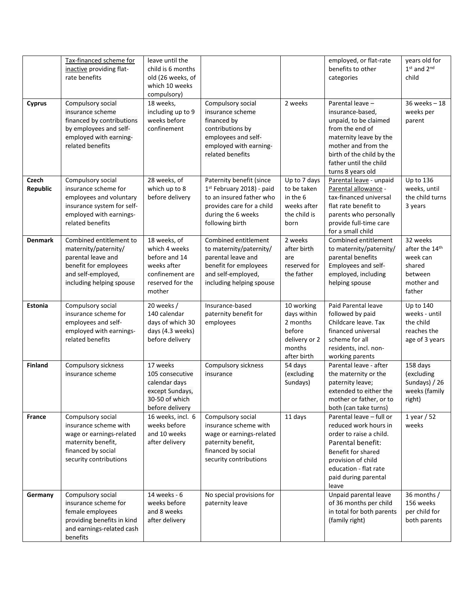| <b>Cyprus</b>            | Tax-financed scheme for<br>inactive providing flat-<br>rate benefits<br>Compulsory social<br>insurance scheme<br>financed by contributions<br>by employees and self-<br>employed with earning-<br>related benefits | leave until the<br>child is 6 months<br>old (26 weeks, of<br>which 10 weeks<br>compulsory)<br>18 weeks,<br>including up to 9<br>weeks before<br>confinement | Compulsory social<br>insurance scheme<br>financed by<br>contributions by<br>employees and self-<br>employed with earning-<br>related benefits           | 2 weeks                                                                                   | employed, or flat-rate<br>benefits to other<br>categories<br>Parental leave -<br>insurance-based,<br>unpaid, to be claimed<br>from the end of<br>maternity leave by the<br>mother and from the<br>birth of the child by the<br>father until the child<br>turns 8 years old | years old for<br>1st and 2nd<br>child<br>$36$ weeks $-18$<br>weeks per<br>parent    |
|--------------------------|--------------------------------------------------------------------------------------------------------------------------------------------------------------------------------------------------------------------|-------------------------------------------------------------------------------------------------------------------------------------------------------------|---------------------------------------------------------------------------------------------------------------------------------------------------------|-------------------------------------------------------------------------------------------|----------------------------------------------------------------------------------------------------------------------------------------------------------------------------------------------------------------------------------------------------------------------------|-------------------------------------------------------------------------------------|
| <b>Czech</b><br>Republic | Compulsory social<br>insurance scheme for<br>employees and voluntary<br>insurance system for self-<br>employed with earnings-<br>related benefits                                                                  | 28 weeks, of<br>which up to 8<br>before delivery                                                                                                            | Paternity benefit (since<br>1st February 2018) - paid<br>to an insured father who<br>provides care for a child<br>during the 6 weeks<br>following birth | Up to 7 days<br>to be taken<br>in the 6<br>weeks after<br>the child is<br>born            | Parental leave - unpaid<br>Parental allowance -<br>tax-financed universal<br>flat rate benefit to<br>parents who personally<br>provide full-time care<br>for a small child                                                                                                 | Up to 136<br>weeks, until<br>the child turns<br>3 years                             |
| <b>Denmark</b>           | Combined entitlement to<br>maternity/paternity/<br>parental leave and<br>benefit for employees<br>and self-employed,<br>including helping spouse                                                                   | 18 weeks, of<br>which 4 weeks<br>before and 14<br>weeks after<br>confinement are<br>reserved for the<br>mother                                              | Combined entitlement<br>to maternity/paternity/<br>parental leave and<br>benefit for employees<br>and self-employed,<br>including helping spouse        | 2 weeks<br>after birth<br>are<br>reserved for<br>the father                               | Combined entitlement<br>to maternity/paternity/<br>parental benefits<br>Employees and self-<br>employed, including<br>helping spouse                                                                                                                                       | 32 weeks<br>after the 14th<br>week can<br>shared<br>between<br>mother and<br>father |
| Estonia                  | Compulsory social<br>insurance scheme for<br>employees and self-<br>employed with earnings-<br>related benefits                                                                                                    | 20 weeks /<br>140 calendar<br>days of which 30<br>days (4.3 weeks)<br>before delivery                                                                       | Insurance-based<br>paternity benefit for<br>employees                                                                                                   | 10 working<br>days within<br>2 months<br>before<br>delivery or 2<br>months<br>after birth | Paid Parental leave<br>followed by paid<br>Childcare leave. Tax<br>financed universal<br>scheme for all<br>residents, incl. non-<br>working parents                                                                                                                        | <b>Up to 140</b><br>weeks - until<br>the child<br>reaches the<br>age of 3 years     |
| <b>Finland</b>           | Compulsory sickness<br>insurance scheme                                                                                                                                                                            | 17 weeks<br>105 consecutive<br>calendar days<br>except Sundays,<br>30-50 of which<br>before delivery                                                        | Compulsory sickness<br>insurance                                                                                                                        | 54 days<br>(excluding<br>Sundays)                                                         | Parental leave - after<br>the maternity or the<br>paternity leave;<br>extended to either the<br>mother or father, or to<br>both (can take turns)                                                                                                                           | 158 days<br>(excluding<br>Sundays) / 26<br>weeks (family<br>right)                  |
| France                   | Compulsory social<br>insurance scheme with<br>wage or earnings-related<br>maternity benefit,<br>financed by social<br>security contributions                                                                       | 16 weeks, incl. 6<br>weeks before<br>and 10 weeks<br>after delivery                                                                                         | Compulsory social<br>insurance scheme with<br>wage or earnings-related<br>paternity benefit,<br>financed by social<br>security contributions            | 11 days                                                                                   | Parental leave - full or<br>reduced work hours in<br>order to raise a child.<br>Parental benefit:<br>Benefit for shared<br>provision of child<br>education - flat rate<br>paid during parental<br>leave                                                                    | $1$ year / 52<br>weeks                                                              |
| Germany                  | Compulsory social<br>insurance scheme for<br>female employees<br>providing benefits in kind<br>and earnings-related cash<br>benefits                                                                               | 14 weeks - 6<br>weeks before<br>and 8 weeks<br>after delivery                                                                                               | No special provisions for<br>paternity leave                                                                                                            |                                                                                           | Unpaid parental leave<br>of 36 months per child<br>in total for both parents<br>(family right)                                                                                                                                                                             | 36 months /<br>156 weeks<br>per child for<br>both parents                           |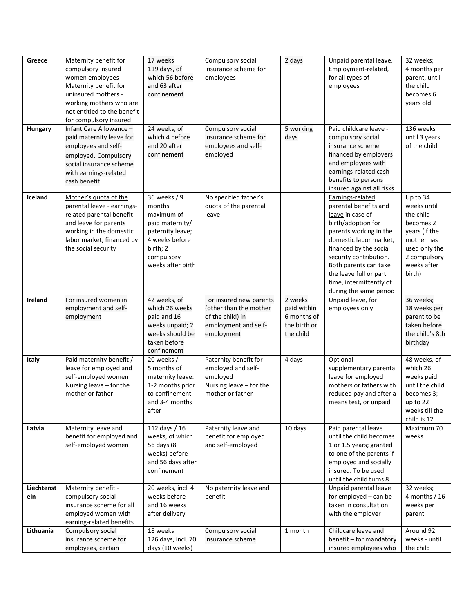| Greece            | Maternity benefit for<br>compulsory insured<br>women employees<br>Maternity benefit for<br>uninsured mothers -<br>working mothers who are<br>not entitled to the benefit<br>for compulsory insured | 17 weeks<br>119 days, of<br>which 56 before<br>and 63 after<br>confinement                                                                   | Compulsory social<br>insurance scheme for<br>employees                                                      | 2 days                                                             | Unpaid parental leave.<br>Employment-related,<br>for all types of<br>employees                                                                                                                                                                                                                      | 32 weeks;<br>4 months per<br>parent, until<br>the child<br>becomes 6<br>years old                                                          |
|-------------------|----------------------------------------------------------------------------------------------------------------------------------------------------------------------------------------------------|----------------------------------------------------------------------------------------------------------------------------------------------|-------------------------------------------------------------------------------------------------------------|--------------------------------------------------------------------|-----------------------------------------------------------------------------------------------------------------------------------------------------------------------------------------------------------------------------------------------------------------------------------------------------|--------------------------------------------------------------------------------------------------------------------------------------------|
| Hungary           | Infant Care Allowance -<br>paid maternity leave for<br>employees and self-<br>employed. Compulsory<br>social insurance scheme<br>with earnings-related<br>cash benefit                             | 24 weeks, of<br>which 4 before<br>and 20 after<br>confinement                                                                                | Compulsory social<br>insurance scheme for<br>employees and self-<br>employed                                | 5 working<br>days                                                  | Paid childcare leave -<br>compulsory social<br>insurance scheme<br>financed by employers<br>and employees with<br>earnings-related cash<br>benefits to persons<br>insured against all risks                                                                                                         | 136 weeks<br>until 3 years<br>of the child                                                                                                 |
| Iceland           | Mother's quota of the<br>parental leave - earnings-<br>related parental benefit<br>and leave for parents<br>working in the domestic<br>labor market, financed by<br>the social security            | 36 weeks / 9<br>months<br>maximum of<br>paid maternity/<br>paternity leave;<br>4 weeks before<br>birth; 2<br>compulsory<br>weeks after birth | No specified father's<br>quota of the parental<br>leave                                                     |                                                                    | Earnings-related<br>parental benefits and<br>leave in case of<br>birth/adoption for<br>parents working in the<br>domestic labor market,<br>financed by the social<br>security contribution.<br>Both parents can take<br>the leave full or part<br>time, intermittently of<br>during the same period | Up to 34<br>weeks until<br>the child<br>becomes 2<br>years (if the<br>mother has<br>used only the<br>2 compulsory<br>weeks after<br>birth) |
| Ireland           | For insured women in<br>employment and self-<br>employment                                                                                                                                         | 42 weeks, of<br>which 26 weeks<br>paid and 16<br>weeks unpaid; 2<br>weeks should be<br>taken before<br>confinement                           | For insured new parents<br>(other than the mother<br>of the child) in<br>employment and self-<br>employment | 2 weeks<br>paid within<br>6 months of<br>the birth or<br>the child | Unpaid leave, for<br>employees only                                                                                                                                                                                                                                                                 | 36 weeks;<br>18 weeks per<br>parent to be<br>taken before<br>the child's 8th<br>birthday                                                   |
| Italy             | Paid maternity benefit /<br>leave for employed and<br>self-employed women<br>Nursing leave - for the<br>mother or father                                                                           | 20 weeks /<br>5 months of<br>maternity leave:<br>1-2 months prior<br>to confinement<br>and 3-4 months<br>after                               | Paternity benefit for<br>employed and self-<br>employed<br>Nursing leave - for the<br>mother or father      | 4 days                                                             | Optional<br>supplementary parental<br>leave for employed<br>mothers or fathers with<br>reduced pay and after a<br>means test, or unpaid                                                                                                                                                             | 48 weeks, of<br>which 26<br>weeks paid<br>until the child<br>becomes 3;<br>up to 22<br>weeks till the<br>child is 12                       |
| Latvia            | Maternity leave and<br>benefit for employed and<br>self-employed women                                                                                                                             | 112 days / 16<br>weeks, of which<br>56 days (8<br>weeks) before<br>and 56 days after<br>confinement                                          | Paternity leave and<br>benefit for employed<br>and self-employed                                            | 10 days                                                            | Paid parental leave<br>until the child becomes<br>1 or 1.5 years; granted<br>to one of the parents if<br>employed and socially<br>insured. To be used<br>until the child turns 8                                                                                                                    | Maximum 70<br>weeks                                                                                                                        |
| Liechtenst<br>ein | Maternity benefit -<br>compulsory social<br>insurance scheme for all<br>employed women with<br>earning-related benefits                                                                            | 20 weeks, incl. 4<br>weeks before<br>and 16 weeks<br>after delivery                                                                          | No paternity leave and<br>benefit                                                                           |                                                                    | Unpaid parental leave<br>for employed - can be<br>taken in consultation<br>with the employer                                                                                                                                                                                                        | 32 weeks;<br>4 months $/ 16$<br>weeks per<br>parent                                                                                        |
| Lithuania         | Compulsory social<br>insurance scheme for<br>employees, certain                                                                                                                                    | 18 weeks<br>126 days, incl. 70<br>days (10 weeks)                                                                                            | Compulsory social<br>insurance scheme                                                                       | 1 month                                                            | Childcare leave and<br>benefit - for mandatory<br>insured employees who                                                                                                                                                                                                                             | Around 92<br>weeks - until<br>the child                                                                                                    |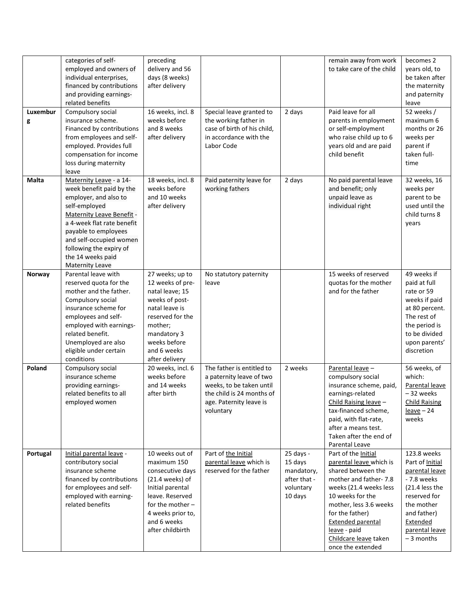| Luxembur<br>g | categories of self-<br>employed and owners of<br>individual enterprises,<br>financed by contributions<br>and providing earnings-<br>related benefits<br>Compulsory social<br>insurance scheme.<br>Financed by contributions<br>from employees and self-<br>employed. Provides full<br>compensation for income<br>loss during maternity<br>leave | preceding<br>delivery and 56<br>days (8 weeks)<br>after delivery<br>16 weeks, incl. 8<br>weeks before<br>and 8 weeks<br>after delivery                                                    | Special leave granted to<br>the working father in<br>case of birth of his child,<br>in accordance with the<br>Labor Code                               | 2 days                                                                     | remain away from work<br>to take care of the child<br>Paid leave for all<br>parents in employment<br>or self-employment<br>who raise child up to 6<br>years old and are paid<br>child benefit                                                                                      | becomes 2<br>years old, to<br>be taken after<br>the maternity<br>and paternity<br>leave<br>52 weeks /<br>maximum 6<br>months or 26<br>weeks per<br>parent if<br>taken full-<br>time |
|---------------|-------------------------------------------------------------------------------------------------------------------------------------------------------------------------------------------------------------------------------------------------------------------------------------------------------------------------------------------------|-------------------------------------------------------------------------------------------------------------------------------------------------------------------------------------------|--------------------------------------------------------------------------------------------------------------------------------------------------------|----------------------------------------------------------------------------|------------------------------------------------------------------------------------------------------------------------------------------------------------------------------------------------------------------------------------------------------------------------------------|-------------------------------------------------------------------------------------------------------------------------------------------------------------------------------------|
| <b>Malta</b>  | Maternity Leave - a 14-<br>week benefit paid by the<br>employer, and also to<br>self-employed<br><b>Maternity Leave Benefit -</b><br>a 4-week flat rate benefit<br>payable to employees<br>and self-occupied women<br>following the expiry of<br>the 14 weeks paid<br>Maternity Leave                                                           | 18 weeks, incl. 8<br>weeks before<br>and 10 weeks<br>after delivery                                                                                                                       | Paid paternity leave for<br>working fathers                                                                                                            | 2 days                                                                     | No paid parental leave<br>and benefit; only<br>unpaid leave as<br>individual right                                                                                                                                                                                                 | 32 weeks, 16<br>weeks per<br>parent to be<br>used until the<br>child turns 8<br>years                                                                                               |
| Norway        | Parental leave with<br>reserved quota for the<br>mother and the father.<br>Compulsory social<br>insurance scheme for<br>employees and self-<br>employed with earnings-<br>related benefit.<br>Unemployed are also<br>eligible under certain<br>conditions                                                                                       | 27 weeks; up to<br>12 weeks of pre-<br>natal leave; 15<br>weeks of post-<br>natal leave is<br>reserved for the<br>mother;<br>mandatory 3<br>weeks before<br>and 6 weeks<br>after delivery | No statutory paternity<br>leave                                                                                                                        |                                                                            | 15 weeks of reserved<br>quotas for the mother<br>and for the father                                                                                                                                                                                                                | 49 weeks if<br>paid at full<br>rate or 59<br>weeks if paid<br>at 80 percent.<br>The rest of<br>the period is<br>to be divided<br>upon parents'<br>discretion                        |
| Poland        | Compulsory social<br>insurance scheme<br>providing earnings-<br>related benefits to all<br>employed women                                                                                                                                                                                                                                       | 20 weeks, incl. 6<br>weeks before<br>and 14 weeks<br>after birth                                                                                                                          | The father is entitled to<br>a paternity leave of two<br>weeks, to be taken until<br>the child is 24 months of<br>age. Paternity leave is<br>voluntary | 2 weeks                                                                    | Parental leave -<br>compulsory social<br>insurance scheme, paid,<br>earnings-related<br>Child Raising leave -<br>tax-financed scheme,<br>paid, with flat-rate,<br>after a means test.<br>Taken after the end of<br>Parental Leave                                                  | 56 weeks, of<br>which:<br>Parental leave<br>-32 weeks<br><b>Child Raising</b><br>$leave-24$<br>weeks                                                                                |
| Portugal      | Initial parental leave -<br>contributory social<br>insurance scheme<br>financed by contributions<br>for employees and self-<br>employed with earning-<br>related benefits                                                                                                                                                                       | 10 weeks out of<br>maximum 150<br>consecutive days<br>(21.4 weeks)<br>Initial parental<br>leave. Reserved<br>for the mother $-$<br>4 weeks prior to,<br>and 6 weeks<br>after childbirth   | Part of the Initial<br>parental leave which is<br>reserved for the father                                                                              | 25 days -<br>15 days<br>mandatory,<br>after that -<br>voluntary<br>10 days | Part of the Initial<br>parental leave which is<br>shared between the<br>mother and father-7.8<br>weeks (21.4 weeks less<br>10 weeks for the<br>mother, less 3.6 weeks<br>for the father)<br><b>Extended parental</b><br>leave - paid<br>Childcare leave taken<br>once the extended | 123.8 weeks<br>Part of Initial<br>parental leave<br>- 7.8 weeks<br>(21.4 less the<br>reserved for<br>the mother<br>and father)<br>Extended<br>parental leave<br>$-3$ months         |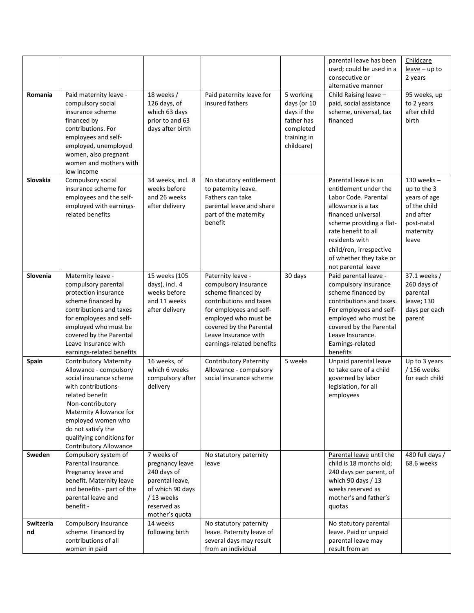| Romania         | Paid maternity leave -<br>compulsory social<br>insurance scheme<br>financed by<br>contributions. For<br>employees and self-<br>employed, unemployed                                                                                                                            | 18 weeks /<br>126 days, of<br>which 63 days<br>prior to and 63<br>days after birth                                                | Paid paternity leave for<br>insured fathers                                                                                                                                                                                   | 5 working<br>days (or 10<br>days if the<br>father has<br>completed<br>training in<br>childcare) | parental leave has been<br>used; could be used in a<br>consecutive or<br>alternative manner<br>Child Raising leave -<br>paid, social assistance<br>scheme, universal, tax<br>financed                                                                              | Childcare<br>$leave-up$ to<br>2 years<br>95 weeks, up<br>to 2 years<br>after child<br>birth                   |
|-----------------|--------------------------------------------------------------------------------------------------------------------------------------------------------------------------------------------------------------------------------------------------------------------------------|-----------------------------------------------------------------------------------------------------------------------------------|-------------------------------------------------------------------------------------------------------------------------------------------------------------------------------------------------------------------------------|-------------------------------------------------------------------------------------------------|--------------------------------------------------------------------------------------------------------------------------------------------------------------------------------------------------------------------------------------------------------------------|---------------------------------------------------------------------------------------------------------------|
|                 | women, also pregnant<br>women and mothers with<br>low income                                                                                                                                                                                                                   |                                                                                                                                   |                                                                                                                                                                                                                               |                                                                                                 |                                                                                                                                                                                                                                                                    |                                                                                                               |
| Slovakia        | Compulsory social<br>insurance scheme for<br>employees and the self-<br>employed with earnings-<br>related benefits                                                                                                                                                            | 34 weeks, incl. 8<br>weeks before<br>and 26 weeks<br>after delivery                                                               | No statutory entitlement<br>to paternity leave.<br>Fathers can take<br>parental leave and share<br>part of the maternity<br>benefit                                                                                           |                                                                                                 | Parental leave is an<br>entitlement under the<br>Labor Code, Parental<br>allowance is a tax<br>financed universal<br>scheme providing a flat-<br>rate benefit to all<br>residents with<br>child/ren, irrespective<br>of whether they take or<br>not parental leave | $130$ weeks -<br>up to the 3<br>years of age<br>of the child<br>and after<br>post-natal<br>maternity<br>leave |
| Slovenia        | Maternity leave -<br>compulsory parental<br>protection insurance<br>scheme financed by<br>contributions and taxes<br>for employees and self-<br>employed who must be<br>covered by the Parental<br>Leave Insurance with<br>earnings-related benefits                           | 15 weeks (105<br>days), incl. 4<br>weeks before<br>and 11 weeks<br>after delivery                                                 | Paternity leave -<br>compulsory insurance<br>scheme financed by<br>contributions and taxes<br>for employees and self-<br>employed who must be<br>covered by the Parental<br>Leave Insurance with<br>earnings-related benefits | 30 days                                                                                         | Paid parental leave -<br>compulsory insurance<br>scheme financed by<br>contributions and taxes.<br>For employees and self-<br>employed who must be<br>covered by the Parental<br>Leave Insurance.<br>Earnings-related<br>benefits                                  | 37.1 weeks /<br>260 days of<br>parental<br>leave; 130<br>days per each<br>parent                              |
| Spain           | <b>Contributory Maternity</b><br>Allowance - compulsory<br>social insurance scheme<br>with contributions-<br>related benefit<br>Non-contributory<br>Maternity Allowance for<br>employed women who<br>do not satisfy the<br>qualifying conditions for<br>Contributory Allowance | 16 weeks, of<br>which 6 weeks<br>compulsory after<br>delivery                                                                     | <b>Contributory Paternity</b><br>Allowance - compulsory<br>social insurance scheme                                                                                                                                            | 5 weeks                                                                                         | Unpaid parental leave<br>to take care of a child<br>governed by labor<br>legislation, for all<br>employees                                                                                                                                                         | Up to 3 years<br>/ 156 weeks<br>for each child                                                                |
| Sweden          | Compulsory system of<br>Parental insurance.<br>Pregnancy leave and<br>benefit. Maternity leave<br>and benefits - part of the<br>parental leave and<br>benefit -                                                                                                                | 7 weeks of<br>pregnancy leave<br>240 days of<br>parental leave,<br>of which 90 days<br>/13 weeks<br>reserved as<br>mother's quota | No statutory paternity<br>leave                                                                                                                                                                                               |                                                                                                 | Parental leave until the<br>child is 18 months old;<br>240 days per parent, of<br>which 90 days / 13<br>weeks reserved as<br>mother's and father's<br>quotas                                                                                                       | 480 full days /<br>68.6 weeks                                                                                 |
| Switzerla<br>nd | Compulsory insurance<br>scheme. Financed by<br>contributions of all<br>women in paid                                                                                                                                                                                           | 14 weeks<br>following birth                                                                                                       | No statutory paternity<br>leave. Paternity leave of<br>several days may result<br>from an individual                                                                                                                          |                                                                                                 | No statutory parental<br>leave. Paid or unpaid<br>parental leave may<br>result from an                                                                                                                                                                             |                                                                                                               |